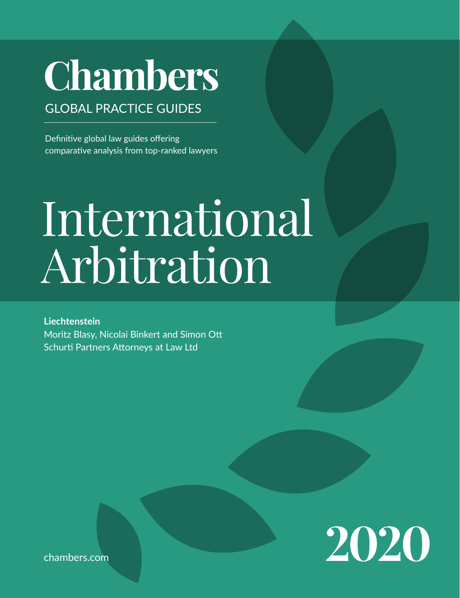## **Chambers**

## GLOBAL PRACTICE GUIDES

Definitive global law guides offering comparative analysis from top-ranked lawyers

# International Arbitration

**Liechtenstein** Moritz Blasy, Nicolai Binkert and Simon Ott Schurti Partners Attorneys at Law Ltd



[chambers.com](http://chambers.com)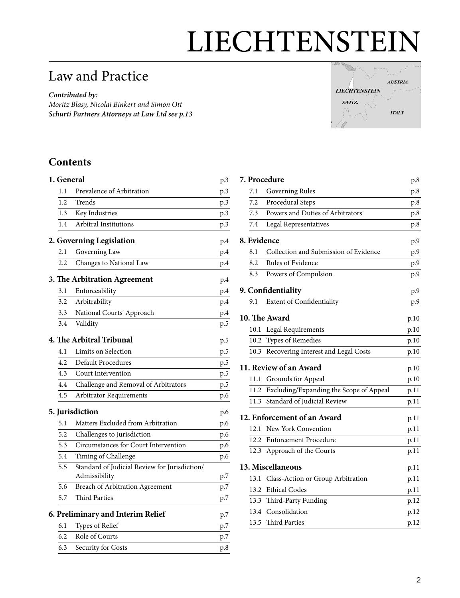## LIECHTENSTEIN

## Law and Practice

*Contributed by: Moritz Blasy, Nicolai Binkert and Simon Ott Schurti Partners Attorneys at Law Lt[d see p.13](#page-12-0)*



## **Contents**

| 1. General |                                                                | p.3 |
|------------|----------------------------------------------------------------|-----|
| 1.1        | Prevalence of Arbitration                                      | p.3 |
| 1.2        | Trends                                                         | p.3 |
| 1.3        | Key Industries                                                 | p.3 |
| 1.4        | Arbitral Institutions                                          | p.3 |
|            | 2. Governing Legislation                                       | p.4 |
| 2.1        | Governing Law                                                  | p.4 |
| 2.2        | Changes to National Law                                        | p.4 |
|            | 3. The Arbitration Agreement                                   | p.4 |
| 3.1        | Enforceability                                                 | p.4 |
| 3.2        | Arbitrability                                                  | p.4 |
| 3.3        | National Courts' Approach                                      | p.4 |
| 3.4        | Validity                                                       | p.5 |
|            | 4. The Arbitral Tribunal                                       | p.5 |
| 4.1        | Limits on Selection                                            | p.5 |
| 4.2        | Default Procedures                                             | p.5 |
| 4.3        | Court Intervention                                             | p.5 |
| 4.4        | Challenge and Removal of Arbitrators                           | p.5 |
| 4.5        | <b>Arbitrator Requirements</b>                                 | p.6 |
|            | 5. Jurisdiction                                                | p.6 |
| 5.1        | Matters Excluded from Arbitration                              | p.6 |
| 5.2        | Challenges to Jurisdiction                                     | p.6 |
| 5.3        | Circumstances for Court Intervention                           | p.6 |
| 5.4        | Timing of Challenge                                            | p.6 |
| 5.5        | Standard of Judicial Review for Jurisdiction/<br>Admissibility | p.7 |
| 5.6        | Breach of Arbitration Agreement                                | p.7 |
| 5.7        | <b>Third Parties</b>                                           | p.7 |
|            | 6. Preliminary and Interim Relief                              | p.7 |
| 6.1        | Types of Relief                                                | p.7 |
| 6.2        | Role of Courts                                                 | p.7 |
| 6.3        | Security for Costs                                             | p.8 |
|            |                                                                |     |

|                             |                        | <b>7. Procedure</b>                     | p.8          |  |  |
|-----------------------------|------------------------|-----------------------------------------|--------------|--|--|
|                             | 7.1                    | Governing Rules                         | p.8          |  |  |
|                             | 7.2                    | Procedural Steps                        | p.8          |  |  |
|                             | 7.3                    | Powers and Duties of Arbitrators        | p.8          |  |  |
|                             | 7.4                    | Legal Representatives                   | p.8          |  |  |
| 8. Evidence                 |                        |                                         |              |  |  |
|                             | 8.1                    | Collection and Submission of Evidence   | p.9          |  |  |
|                             | 8.2                    | Rules of Evidence                       | p.9          |  |  |
|                             | 8.3                    | Powers of Compulsion                    | p.9          |  |  |
|                             | 9. Confidentiality     |                                         |              |  |  |
|                             | 9.1                    | <b>Extent of Confidentiality</b>        | p.9          |  |  |
| 10. The Award               |                        |                                         |              |  |  |
|                             | 10.1                   | Legal Requirements                      | p.10<br>p.10 |  |  |
|                             | 10.2                   | Types of Remedies                       | p.10         |  |  |
|                             | 10.3                   | Recovering Interest and Legal Costs     | p.10         |  |  |
|                             | 11. Review of an Award |                                         |              |  |  |
|                             | 11.1                   | Grounds for Appeal                      | p.10         |  |  |
|                             | 11.2                   | Excluding/Expanding the Scope of Appeal | p.11         |  |  |
|                             | 11.3                   | Standard of Judicial Review             | p.11         |  |  |
| 12. Enforcement of an Award |                        |                                         |              |  |  |
|                             | 12.1                   | New York Convention                     | p.11         |  |  |
|                             | 12.2                   | <b>Enforcement Procedure</b>            | p.11         |  |  |
|                             | 12.3                   | Approach of the Courts                  | p.11         |  |  |
| 13. Miscellaneous           |                        |                                         |              |  |  |
|                             | 13.1                   | Class-Action or Group Arbitration       | p.11         |  |  |
|                             | 13.2                   | <b>Ethical Codes</b>                    | p.11         |  |  |
|                             | 13.3                   | Third-Party Funding                     | p.12         |  |  |
|                             | 13.4                   | Consolidation                           | p.12         |  |  |
|                             | 13.5                   | <b>Third Parties</b>                    | p.12         |  |  |
|                             |                        |                                         |              |  |  |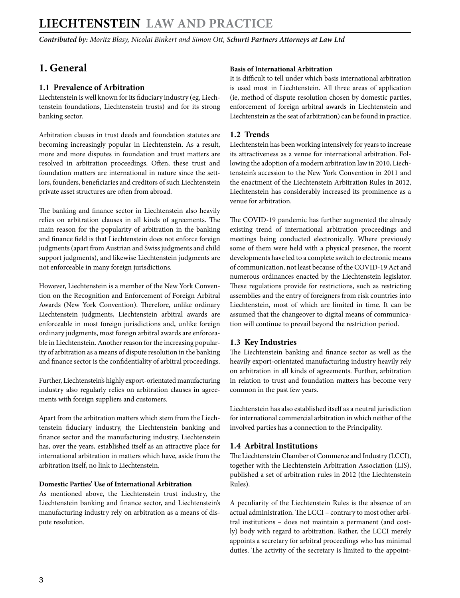<span id="page-2-0"></span>*Contributed by: Moritz Blasy, Nicolai Binkert and Simon Ott, Schurti Partners Attorneys at Law Ltd* 

## **1. General**

#### **1.1 Prevalence of Arbitration**

Liechtenstein is well known for its fiduciary industry (eg, Liechtenstein foundations, Liechtenstein trusts) and for its strong banking sector.

Arbitration clauses in trust deeds and foundation statutes are becoming increasingly popular in Liechtenstein. As a result, more and more disputes in foundation and trust matters are resolved in arbitration proceedings. Often, these trust and foundation matters are international in nature since the settlors, founders, beneficiaries and creditors of such Liechtenstein private asset structures are often from abroad.

The banking and finance sector in Liechtenstein also heavily relies on arbitration clauses in all kinds of agreements. The main reason for the popularity of arbitration in the banking and finance field is that Liechtenstein does not enforce foreign judgments (apart from Austrian and Swiss judgments and child support judgments), and likewise Liechtenstein judgments are not enforceable in many foreign jurisdictions.

However, Liechtenstein is a member of the New York Convention on the Recognition and Enforcement of Foreign Arbitral Awards (New York Convention). Therefore, unlike ordinary Liechtenstein judgments, Liechtenstein arbitral awards are enforceable in most foreign jurisdictions and, unlike foreign ordinary judgments, most foreign arbitral awards are enforceable in Liechtenstein. Another reason for the increasing popularity of arbitration as a means of dispute resolution in the banking and finance sector is the confidentiality of arbitral proceedings.

Further, Liechtenstein's highly export-orientated manufacturing industry also regularly relies on arbitration clauses in agreements with foreign suppliers and customers.

Apart from the arbitration matters which stem from the Liechtenstein fiduciary industry, the Liechtenstein banking and finance sector and the manufacturing industry, Liechtenstein has, over the years, established itself as an attractive place for international arbitration in matters which have, aside from the arbitration itself, no link to Liechtenstein.

#### **Domestic Parties' Use of International Arbitration**

As mentioned above, the Liechtenstein trust industry, the Liechtenstein banking and finance sector, and Liechtenstein's manufacturing industry rely on arbitration as a means of dispute resolution.

#### **Basis of International Arbitration**

It is difficult to tell under which basis international arbitration is used most in Liechtenstein. All three areas of application (ie, method of dispute resolution chosen by domestic parties, enforcement of foreign arbitral awards in Liechtenstein and Liechtenstein as the seat of arbitration) can be found in practice.

#### **1.2 Trends**

Liechtenstein has been working intensively for years to increase its attractiveness as a venue for international arbitration. Following the adoption of a modern arbitration law in 2010, Liechtenstein's accession to the New York Convention in 2011 and the enactment of the Liechtenstein Arbitration Rules in 2012, Liechtenstein has considerably increased its prominence as a venue for arbitration.

The COVID-19 pandemic has further augmented the already existing trend of international arbitration proceedings and meetings being conducted electronically. Where previously some of them were held with a physical presence, the recent developments have led to a complete switch to electronic means of communication, not least because of the COVID-19 Act and numerous ordinances enacted by the Liechtenstein legislator. These regulations provide for restrictions, such as restricting assemblies and the entry of foreigners from risk countries into Liechtenstein, most of which are limited in time. It can be assumed that the changeover to digital means of communication will continue to prevail beyond the restriction period.

#### **1.3 Key Industries**

The Liechtenstein banking and finance sector as well as the heavily export-orientated manufacturing industry heavily rely on arbitration in all kinds of agreements. Further, arbitration in relation to trust and foundation matters has become very common in the past few years.

Liechtenstein has also established itself as a neutral jurisdiction for international commercial arbitration in which neither of the involved parties has a connection to the Principality.

#### **1.4 Arbitral Institutions**

The Liechtenstein Chamber of Commerce and Industry (LCCI), together with the Liechtenstein Arbitration Association (LIS), published a set of arbitration rules in 2012 (the Liechtenstein Rules).

A peculiarity of the Liechtenstein Rules is the absence of an actual administration. The LCCI – contrary to most other arbitral institutions – does not maintain a permanent (and costly) body with regard to arbitration. Rather, the LCCI merely appoints a secretary for arbitral proceedings who has minimal duties. The activity of the secretary is limited to the appoint-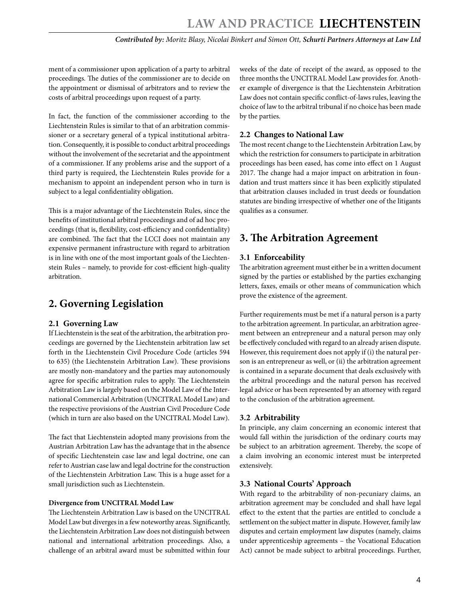<span id="page-3-0"></span>ment of a commissioner upon application of a party to arbitral proceedings. The duties of the commissioner are to decide on the appointment or dismissal of arbitrators and to review the costs of arbitral proceedings upon request of a party.

In fact, the function of the commissioner according to the Liechtenstein Rules is similar to that of an arbitration commissioner or a secretary general of a typical institutional arbitration. Consequently, it is possible to conduct arbitral proceedings without the involvement of the secretariat and the appointment of a commissioner. If any problems arise and the support of a third party is required, the Liechtenstein Rules provide for a mechanism to appoint an independent person who in turn is subject to a legal confidentiality obligation.

This is a major advantage of the Liechtenstein Rules, since the benefits of institutional arbitral proceedings and of ad hoc proceedings (that is, flexibility, cost-efficiency and confidentiality) are combined. The fact that the LCCI does not maintain any expensive permanent infrastructure with regard to arbitration is in line with one of the most important goals of the Liechtenstein Rules – namely, to provide for cost-efficient high-quality arbitration.

## **2. Governing Legislation**

#### **2.1 Governing Law**

If Liechtenstein is the seat of the arbitration, the arbitration proceedings are governed by the Liechtenstein arbitration law set forth in the Liechtenstein Civil Procedure Code (articles 594 to 635) (the Liechtenstein Arbitration Law). These provisions are mostly non-mandatory and the parties may autonomously agree for specific arbitration rules to apply. The Liechtenstein Arbitration Law is largely based on the Model Law of the International Commercial Arbitration (UNCITRAL Model Law) and the respective provisions of the Austrian Civil Procedure Code (which in turn are also based on the UNCITRAL Model Law).

The fact that Liechtenstein adopted many provisions from the Austrian Arbitration Law has the advantage that in the absence of specific Liechtenstein case law and legal doctrine, one can refer to Austrian case law and legal doctrine for the construction of the Liechtenstein Arbitration Law. This is a huge asset for a small jurisdiction such as Liechtenstein.

#### **Divergence from UNCITRAL Model Law**

The Liechtenstein Arbitration Law is based on the UNCITRAL Model Law but diverges in a few noteworthy areas. Significantly, the Liechtenstein Arbitration Law does not distinguish between national and international arbitration proceedings. Also, a challenge of an arbitral award must be submitted within four

weeks of the date of receipt of the award, as opposed to the three months the UNCITRAL Model Law provides for. Another example of divergence is that the Liechtenstein Arbitration Law does not contain specific conflict-of-laws rules, leaving the choice of law to the arbitral tribunal if no choice has been made by the parties.

#### **2.2 Changes to National Law**

The most recent change to the Liechtenstein Arbitration Law, by which the restriction for consumers to participate in arbitration proceedings has been eased, has come into effect on 1 August 2017. The change had a major impact on arbitration in foundation and trust matters since it has been explicitly stipulated that arbitration clauses included in trust deeds or foundation statutes are binding irrespective of whether one of the litigants qualifies as a consumer.

## **3. The Arbitration Agreement**

#### **3.1 Enforceability**

The arbitration agreement must either be in a written document signed by the parties or established by the parties exchanging letters, faxes, emails or other means of communication which prove the existence of the agreement.

Further requirements must be met if a natural person is a party to the arbitration agreement. In particular, an arbitration agreement between an entrepreneur and a natural person may only be effectively concluded with regard to an already arisen dispute. However, this requirement does not apply if (i) the natural person is an entrepreneur as well, or (ii) the arbitration agreement is contained in a separate document that deals exclusively with the arbitral proceedings and the natural person has received legal advice or has been represented by an attorney with regard to the conclusion of the arbitration agreement.

#### **3.2 Arbitrability**

In principle, any claim concerning an economic interest that would fall within the jurisdiction of the ordinary courts may be subject to an arbitration agreement. Thereby, the scope of a claim involving an economic interest must be interpreted extensively.

#### **3.3 National Courts' Approach**

With regard to the arbitrability of non-pecuniary claims, an arbitration agreement may be concluded and shall have legal effect to the extent that the parties are entitled to conclude a settlement on the subject matter in dispute. However, family law disputes and certain employment law disputes (namely, claims under apprenticeship agreements – the Vocational Education Act) cannot be made subject to arbitral proceedings. Further,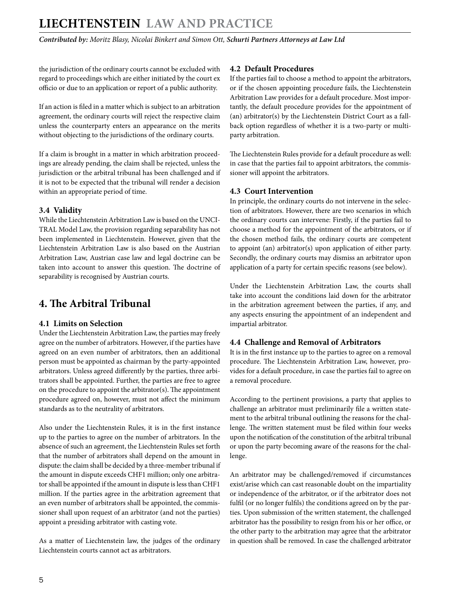<span id="page-4-0"></span>the jurisdiction of the ordinary courts cannot be excluded with regard to proceedings which are either initiated by the court ex officio or due to an application or report of a public authority.

If an action is filed in a matter which is subject to an arbitration agreement, the ordinary courts will reject the respective claim unless the counterparty enters an appearance on the merits without objecting to the jurisdictions of the ordinary courts.

If a claim is brought in a matter in which arbitration proceedings are already pending, the claim shall be rejected, unless the jurisdiction or the arbitral tribunal has been challenged and if it is not to be expected that the tribunal will render a decision within an appropriate period of time.

#### **3.4 Validity**

While the Liechtenstein Arbitration Law is based on the UNCI-TRAL Model Law, the provision regarding separability has not been implemented in Liechtenstein. However, given that the Liechtenstein Arbitration Law is also based on the Austrian Arbitration Law, Austrian case law and legal doctrine can be taken into account to answer this question. The doctrine of separability is recognised by Austrian courts.

## **4. The Arbitral Tribunal**

#### **4.1 Limits on Selection**

Under the Liechtenstein Arbitration Law, the parties may freely agree on the number of arbitrators. However, if the parties have agreed on an even number of arbitrators, then an additional person must be appointed as chairman by the party-appointed arbitrators. Unless agreed differently by the parties, three arbitrators shall be appointed. Further, the parties are free to agree on the procedure to appoint the arbitrator(s). The appointment procedure agreed on, however, must not affect the minimum standards as to the neutrality of arbitrators.

Also under the Liechtenstein Rules, it is in the first instance up to the parties to agree on the number of arbitrators. In the absence of such an agreement, the Liechtenstein Rules set forth that the number of arbitrators shall depend on the amount in dispute: the claim shall be decided by a three-member tribunal if the amount in dispute exceeds CHF1 million; only one arbitrator shall be appointed if the amount in dispute is less than CHF1 million. If the parties agree in the arbitration agreement that an even number of arbitrators shall be appointed, the commissioner shall upon request of an arbitrator (and not the parties) appoint a presiding arbitrator with casting vote.

As a matter of Liechtenstein law, the judges of the ordinary Liechtenstein courts cannot act as arbitrators.

#### **4.2 Default Procedures**

If the parties fail to choose a method to appoint the arbitrators, or if the chosen appointing procedure fails, the Liechtenstein Arbitration Law provides for a default procedure. Most importantly, the default procedure provides for the appointment of (an) arbitrator(s) by the Liechtenstein District Court as a fallback option regardless of whether it is a two-party or multiparty arbitration.

The Liechtenstein Rules provide for a default procedure as well: in case that the parties fail to appoint arbitrators, the commissioner will appoint the arbitrators.

#### **4.3 Court Intervention**

In principle, the ordinary courts do not intervene in the selection of arbitrators. However, there are two scenarios in which the ordinary courts can intervene: Firstly, if the parties fail to choose a method for the appointment of the arbitrators, or if the chosen method fails, the ordinary courts are competent to appoint (an) arbitrator(s) upon application of either party. Secondly, the ordinary courts may dismiss an arbitrator upon application of a party for certain specific reasons (see below).

Under the Liechtenstein Arbitration Law, the courts shall take into account the conditions laid down for the arbitrator in the arbitration agreement between the parties, if any, and any aspects ensuring the appointment of an independent and impartial arbitrator.

#### **4.4 Challenge and Removal of Arbitrators**

It is in the first instance up to the parties to agree on a removal procedure. The Liechtenstein Arbitration Law, however, provides for a default procedure, in case the parties fail to agree on a removal procedure.

According to the pertinent provisions, a party that applies to challenge an arbitrator must preliminarily file a written statement to the arbitral tribunal outlining the reasons for the challenge. The written statement must be filed within four weeks upon the notification of the constitution of the arbitral tribunal or upon the party becoming aware of the reasons for the challenge.

An arbitrator may be challenged/removed if circumstances exist/arise which can cast reasonable doubt on the impartiality or independence of the arbitrator, or if the arbitrator does not fulfil (or no longer fulfils) the conditions agreed on by the parties. Upon submission of the written statement, the challenged arbitrator has the possibility to resign from his or her office, or the other party to the arbitration may agree that the arbitrator in question shall be removed. In case the challenged arbitrator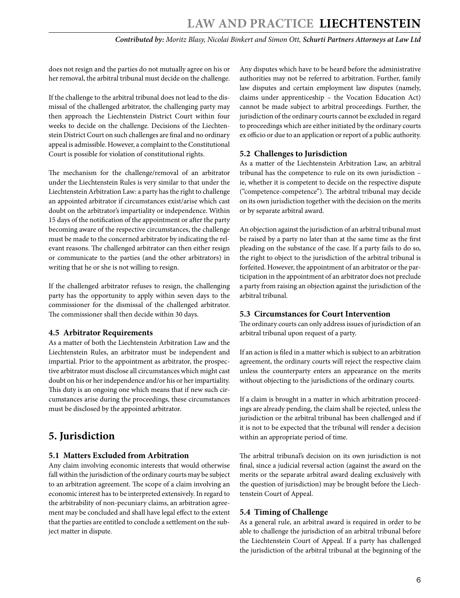<span id="page-5-0"></span>does not resign and the parties do not mutually agree on his or her removal, the arbitral tribunal must decide on the challenge.

If the challenge to the arbitral tribunal does not lead to the dismissal of the challenged arbitrator, the challenging party may then approach the Liechtenstein District Court within four weeks to decide on the challenge. Decisions of the Liechtenstein District Court on such challenges are final and no ordinary appeal is admissible. However, a complaint to the Constitutional Court is possible for violation of constitutional rights.

The mechanism for the challenge/removal of an arbitrator under the Liechtenstein Rules is very similar to that under the Liechtenstein Arbitration Law: a party has the right to challenge an appointed arbitrator if circumstances exist/arise which cast doubt on the arbitrator's impartiality or independence. Within 15 days of the notification of the appointment or after the party becoming aware of the respective circumstances, the challenge must be made to the concerned arbitrator by indicating the relevant reasons. The challenged arbitrator can then either resign or communicate to the parties (and the other arbitrators) in writing that he or she is not willing to resign.

If the challenged arbitrator refuses to resign, the challenging party has the opportunity to apply within seven days to the commissioner for the dismissal of the challenged arbitrator. The commissioner shall then decide within 30 days.

#### **4.5 Arbitrator Requirements**

As a matter of both the Liechtenstein Arbitration Law and the Liechtenstein Rules, an arbitrator must be independent and impartial. Prior to the appointment as arbitrator, the prospective arbitrator must disclose all circumstances which might cast doubt on his or her independence and/or his or her impartiality. This duty is an ongoing one which means that if new such circumstances arise during the proceedings, these circumstances must be disclosed by the appointed arbitrator.

## **5. Jurisdiction**

#### **5.1 Matters Excluded from Arbitration**

Any claim involving economic interests that would otherwise fall within the jurisdiction of the ordinary courts may be subject to an arbitration agreement. The scope of a claim involving an economic interest has to be interpreted extensively. In regard to the arbitrability of non-pecuniary claims, an arbitration agreement may be concluded and shall have legal effect to the extent that the parties are entitled to conclude a settlement on the subject matter in dispute.

Any disputes which have to be heard before the administrative authorities may not be referred to arbitration. Further, family law disputes and certain employment law disputes (namely, claims under apprenticeship – the Vocation Education Act) cannot be made subject to arbitral proceedings. Further, the jurisdiction of the ordinary courts cannot be excluded in regard to proceedings which are either initiated by the ordinary courts ex officio or due to an application or report of a public authority.

#### **5.2 Challenges to Jurisdiction**

As a matter of the Liechtenstein Arbitration Law, an arbitral tribunal has the competence to rule on its own jurisdiction – ie, whether it is competent to decide on the respective dispute ("competence-competence"). The arbitral tribunal may decide on its own jurisdiction together with the decision on the merits or by separate arbitral award.

An objection against the jurisdiction of an arbitral tribunal must be raised by a party no later than at the same time as the first pleading on the substance of the case. If a party fails to do so, the right to object to the jurisdiction of the arbitral tribunal is forfeited. However, the appointment of an arbitrator or the participation in the appointment of an arbitrator does not preclude a party from raising an objection against the jurisdiction of the arbitral tribunal.

#### **5.3 Circumstances for Court Intervention**

The ordinary courts can only address issues of jurisdiction of an arbitral tribunal upon request of a party.

If an action is filed in a matter which is subject to an arbitration agreement, the ordinary courts will reject the respective claim unless the counterparty enters an appearance on the merits without objecting to the jurisdictions of the ordinary courts.

If a claim is brought in a matter in which arbitration proceedings are already pending, the claim shall be rejected, unless the jurisdiction or the arbitral tribunal has been challenged and if it is not to be expected that the tribunal will render a decision within an appropriate period of time.

The arbitral tribunal's decision on its own jurisdiction is not final, since a judicial reversal action (against the award on the merits or the separate arbitral award dealing exclusively with the question of jurisdiction) may be brought before the Liechtenstein Court of Appeal.

#### **5.4 Timing of Challenge**

As a general rule, an arbitral award is required in order to be able to challenge the jurisdiction of an arbitral tribunal before the Liechtenstein Court of Appeal. If a party has challenged the jurisdiction of the arbitral tribunal at the beginning of the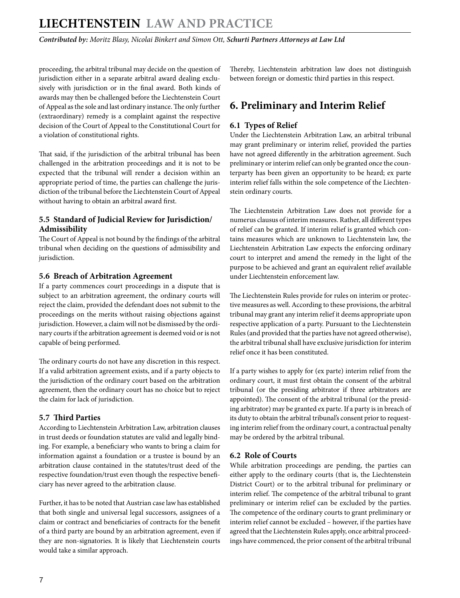<span id="page-6-0"></span>*Contributed by: Moritz Blasy, Nicolai Binkert and Simon Ott, Schurti Partners Attorneys at Law Ltd* 

proceeding, the arbitral tribunal may decide on the question of jurisdiction either in a separate arbitral award dealing exclusively with jurisdiction or in the final award. Both kinds of awards may then be challenged before the Liechtenstein Court of Appeal as the sole and last ordinary instance. The only further (extraordinary) remedy is a complaint against the respective decision of the Court of Appeal to the Constitutional Court for a violation of constitutional rights.

That said, if the jurisdiction of the arbitral tribunal has been challenged in the arbitration proceedings and it is not to be expected that the tribunal will render a decision within an appropriate period of time, the parties can challenge the jurisdiction of the tribunal before the Liechtenstein Court of Appeal without having to obtain an arbitral award first.

#### **5.5 Standard of Judicial Review for Jurisdiction/ Admissibility**

The Court of Appeal is not bound by the findings of the arbitral tribunal when deciding on the questions of admissibility and jurisdiction.

#### **5.6 Breach of Arbitration Agreement**

If a party commences court proceedings in a dispute that is subject to an arbitration agreement, the ordinary courts will reject the claim, provided the defendant does not submit to the proceedings on the merits without raising objections against jurisdiction. However, a claim will not be dismissed by the ordinary courts if the arbitration agreement is deemed void or is not capable of being performed.

The ordinary courts do not have any discretion in this respect. If a valid arbitration agreement exists, and if a party objects to the jurisdiction of the ordinary court based on the arbitration agreement, then the ordinary court has no choice but to reject the claim for lack of jurisdiction.

#### **5.7 Third Parties**

According to Liechtenstein Arbitration Law, arbitration clauses in trust deeds or foundation statutes are valid and legally binding. For example, a beneficiary who wants to bring a claim for information against a foundation or a trustee is bound by an arbitration clause contained in the statutes/trust deed of the respective foundation/trust even though the respective beneficiary has never agreed to the arbitration clause.

Further, it has to be noted that Austrian case law has established that both single and universal legal successors, assignees of a claim or contract and beneficiaries of contracts for the benefit of a third party are bound by an arbitration agreement, even if they are non-signatories. It is likely that Liechtenstein courts would take a similar approach.

Thereby, Liechtenstein arbitration law does not distinguish between foreign or domestic third parties in this respect.

## **6. Preliminary and Interim Relief**

#### **6.1 Types of Relief**

Under the Liechtenstein Arbitration Law, an arbitral tribunal may grant preliminary or interim relief, provided the parties have not agreed differently in the arbitration agreement. Such preliminary or interim relief can only be granted once the counterparty has been given an opportunity to be heard; ex parte interim relief falls within the sole competence of the Liechtenstein ordinary courts.

The Liechtenstein Arbitration Law does not provide for a numerus clausus of interim measures. Rather, all different types of relief can be granted. If interim relief is granted which contains measures which are unknown to Liechtenstein law, the Liechtenstein Arbitration Law expects the enforcing ordinary court to interpret and amend the remedy in the light of the purpose to be achieved and grant an equivalent relief available under Liechtenstein enforcement law.

The Liechtenstein Rules provide for rules on interim or protective measures as well. According to these provisions, the arbitral tribunal may grant any interim relief it deems appropriate upon respective application of a party. Pursuant to the Liechtenstein Rules (and provided that the parties have not agreed otherwise), the arbitral tribunal shall have exclusive jurisdiction for interim relief once it has been constituted.

If a party wishes to apply for (ex parte) interim relief from the ordinary court, it must first obtain the consent of the arbitral tribunal (or the presiding arbitrator if three arbitrators are appointed). The consent of the arbitral tribunal (or the presiding arbitrator) may be granted ex parte. If a party is in breach of its duty to obtain the arbitral tribunal's consent prior to requesting interim relief from the ordinary court, a contractual penalty may be ordered by the arbitral tribunal.

#### **6.2 Role of Courts**

While arbitration proceedings are pending, the parties can either apply to the ordinary courts (that is, the Liechtenstein District Court) or to the arbitral tribunal for preliminary or interim relief. The competence of the arbitral tribunal to grant preliminary or interim relief can be excluded by the parties. The competence of the ordinary courts to grant preliminary or interim relief cannot be excluded – however, if the parties have agreed that the Liechtenstein Rules apply, once arbitral proceedings have commenced, the prior consent of the arbitral tribunal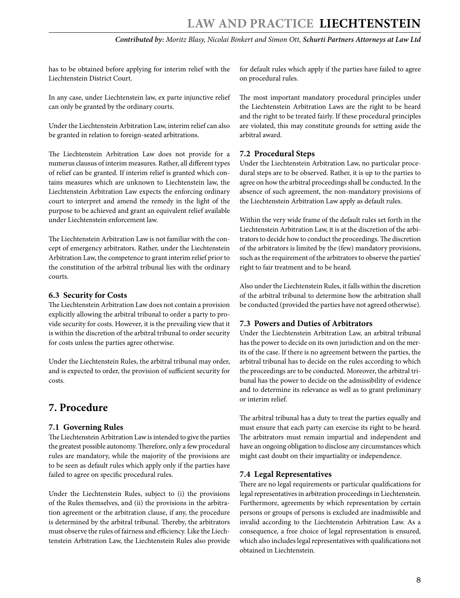<span id="page-7-0"></span>has to be obtained before applying for interim relief with the Liechtenstein District Court.

In any case, under Liechtenstein law, ex parte injunctive relief can only be granted by the ordinary courts.

Under the Liechtenstein Arbitration Law, interim relief can also be granted in relation to foreign-seated arbitrations.

The Liechtenstein Arbitration Law does not provide for a numerus clausus of interim measures. Rather, all different types of relief can be granted. If interim relief is granted which contains measures which are unknown to Liechtenstein law, the Liechtenstein Arbitration Law expects the enforcing ordinary court to interpret and amend the remedy in the light of the purpose to be achieved and grant an equivalent relief available under Liechtenstein enforcement law.

The Liechtenstein Arbitration Law is not familiar with the concept of emergency arbitrators. Rather, under the Liechtenstein Arbitration Law, the competence to grant interim relief prior to the constitution of the arbitral tribunal lies with the ordinary courts.

#### **6.3 Security for Costs**

The Liechtenstein Arbitration Law does not contain a provision explicitly allowing the arbitral tribunal to order a party to provide security for costs. However, it is the prevailing view that it is within the discretion of the arbitral tribunal to order security for costs unless the parties agree otherwise.

Under the Liechtenstein Rules, the arbitral tribunal may order, and is expected to order, the provision of sufficient security for costs.

### **7. Procedure**

#### **7.1 Governing Rules**

The Liechtenstein Arbitration Law is intended to give the parties the greatest possible autonomy. Therefore, only a few procedural rules are mandatory, while the majority of the provisions are to be seen as default rules which apply only if the parties have failed to agree on specific procedural rules.

Under the Liechtenstein Rules, subject to (i) the provisions of the Rules themselves, and (ii) the provisions in the arbitration agreement or the arbitration clause, if any, the procedure is determined by the arbitral tribunal. Thereby, the arbitrators must observe the rules of fairness and efficiency. Like the Liechtenstein Arbitration Law, the Liechtenstein Rules also provide for default rules which apply if the parties have failed to agree on procedural rules.

The most important mandatory procedural principles under the Liechtenstein Arbitration Laws are the right to be heard and the right to be treated fairly. If these procedural principles are violated, this may constitute grounds for setting aside the arbitral award.

#### **7.2 Procedural Steps**

Under the Liechtenstein Arbitration Law, no particular procedural steps are to be observed. Rather, it is up to the parties to agree on how the arbitral proceedings shall be conducted. In the absence of such agreement, the non-mandatory provisions of the Liechtenstein Arbitration Law apply as default rules.

Within the very wide frame of the default rules set forth in the Liechtenstein Arbitration Law, it is at the discretion of the arbitrators to decide how to conduct the proceedings. The discretion of the arbitrators is limited by the (few) mandatory provisions, such as the requirement of the arbitrators to observe the parties' right to fair treatment and to be heard.

Also under the Liechtenstein Rules, it falls within the discretion of the arbitral tribunal to determine how the arbitration shall be conducted (provided the parties have not agreed otherwise).

#### **7.3 Powers and Duties of Arbitrators**

Under the Liechtenstein Arbitration Law, an arbitral tribunal has the power to decide on its own jurisdiction and on the merits of the case. If there is no agreement between the parties, the arbitral tribunal has to decide on the rules according to which the proceedings are to be conducted. Moreover, the arbitral tribunal has the power to decide on the admissibility of evidence and to determine its relevance as well as to grant preliminary or interim relief.

The arbitral tribunal has a duty to treat the parties equally and must ensure that each party can exercise its right to be heard. The arbitrators must remain impartial and independent and have an ongoing obligation to disclose any circumstances which might cast doubt on their impartiality or independence.

#### **7.4 Legal Representatives**

There are no legal requirements or particular qualifications for legal representatives in arbitration proceedings in Liechtenstein. Furthermore, agreements by which representation by certain persons or groups of persons is excluded are inadmissible and invalid according to the Liechtenstein Arbitration Law. As a consequence, a free choice of legal representation is ensured, which also includes legal representatives with qualifications not obtained in Liechtenstein.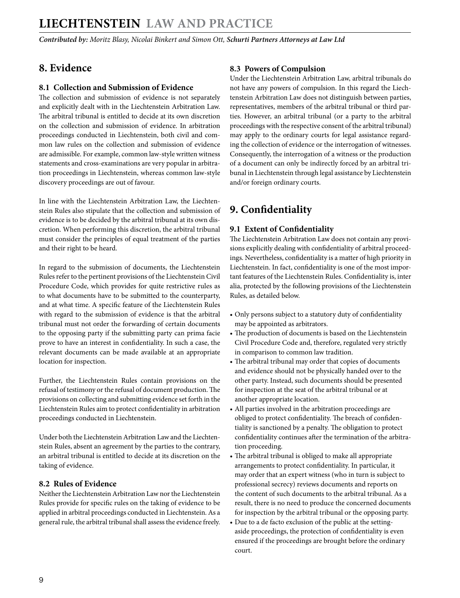## <span id="page-8-0"></span>**8. Evidence**

#### **8.1 Collection and Submission of Evidence**

The collection and submission of evidence is not separately and explicitly dealt with in the Liechtenstein Arbitration Law. The arbitral tribunal is entitled to decide at its own discretion on the collection and submission of evidence. In arbitration proceedings conducted in Liechtenstein, both civil and common law rules on the collection and submission of evidence are admissible. For example, common law-style written witness statements and cross-examinations are very popular in arbitration proceedings in Liechtenstein, whereas common law-style discovery proceedings are out of favour.

In line with the Liechtenstein Arbitration Law, the Liechtenstein Rules also stipulate that the collection and submission of evidence is to be decided by the arbitral tribunal at its own discretion. When performing this discretion, the arbitral tribunal must consider the principles of equal treatment of the parties and their right to be heard.

In regard to the submission of documents, the Liechtenstein Rules refer to the pertinent provisions of the Liechtenstein Civil Procedure Code, which provides for quite restrictive rules as to what documents have to be submitted to the counterparty, and at what time. A specific feature of the Liechtenstein Rules with regard to the submission of evidence is that the arbitral tribunal must not order the forwarding of certain documents to the opposing party if the submitting party can prima facie prove to have an interest in confidentiality. In such a case, the relevant documents can be made available at an appropriate location for inspection.

Further, the Liechtenstein Rules contain provisions on the refusal of testimony or the refusal of document production. The provisions on collecting and submitting evidence set forth in the Liechtenstein Rules aim to protect confidentiality in arbitration proceedings conducted in Liechtenstein.

Under both the Liechtenstein Arbitration Law and the Liechtenstein Rules, absent an agreement by the parties to the contrary, an arbitral tribunal is entitled to decide at its discretion on the taking of evidence.

#### **8.2 Rules of Evidence**

Neither the Liechtenstein Arbitration Law nor the Liechtenstein Rules provide for specific rules on the taking of evidence to be applied in arbitral proceedings conducted in Liechtenstein. As a general rule, the arbitral tribunal shall assess the evidence freely.

#### **8.3 Powers of Compulsion**

Under the Liechtenstein Arbitration Law, arbitral tribunals do not have any powers of compulsion. In this regard the Liechtenstein Arbitration Law does not distinguish between parties, representatives, members of the arbitral tribunal or third parties. However, an arbitral tribunal (or a party to the arbitral proceedings with the respective consent of the arbitral tribunal) may apply to the ordinary courts for legal assistance regarding the collection of evidence or the interrogation of witnesses. Consequently, the interrogation of a witness or the production of a document can only be indirectly forced by an arbitral tribunal in Liechtenstein through legal assistance by Liechtenstein and/or foreign ordinary courts.

## **9. Confidentiality**

#### **9.1 Extent of Confidentiality**

The Liechtenstein Arbitration Law does not contain any provisions explicitly dealing with confidentiality of arbitral proceedings. Nevertheless, confidentiality is a matter of high priority in Liechtenstein. In fact, confidentiality is one of the most important features of the Liechtenstein Rules. Confidentiality is, inter alia, protected by the following provisions of the Liechtenstein Rules, as detailed below.

- Only persons subject to a statutory duty of confidentiality may be appointed as arbitrators.
- The production of documents is based on the Liechtenstein Civil Procedure Code and, therefore, regulated very strictly in comparison to common law tradition.
- The arbitral tribunal may order that copies of documents and evidence should not be physically handed over to the other party. Instead, such documents should be presented for inspection at the seat of the arbitral tribunal or at another appropriate location.
- All parties involved in the arbitration proceedings are obliged to protect confidentiality. The breach of confidentiality is sanctioned by a penalty. The obligation to protect confidentiality continues after the termination of the arbitration proceeding.
- The arbitral tribunal is obliged to make all appropriate arrangements to protect confidentiality. In particular, it may order that an expert witness (who in turn is subject to professional secrecy) reviews documents and reports on the content of such documents to the arbitral tribunal. As a result, there is no need to produce the concerned documents for inspection by the arbitral tribunal or the opposing party.
- Due to a de facto exclusion of the public at the settingaside proceedings, the protection of confidentiality is even ensured if the proceedings are brought before the ordinary court.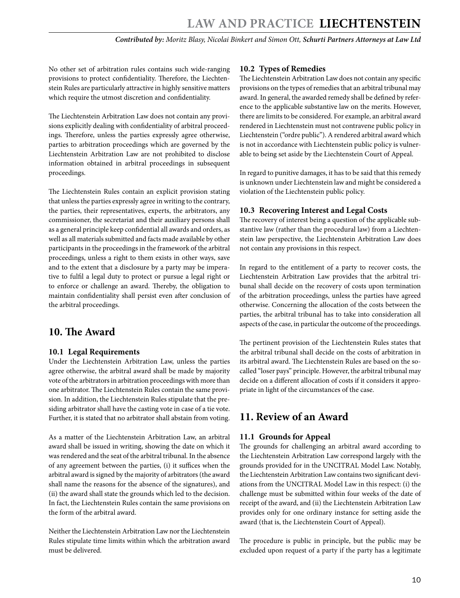<span id="page-9-0"></span>No other set of arbitration rules contains such wide-ranging provisions to protect confidentiality. Therefore, the Liechtenstein Rules are particularly attractive in highly sensitive matters which require the utmost discretion and confidentiality.

The Liechtenstein Arbitration Law does not contain any provisions explicitly dealing with confidentiality of arbitral proceedings. Therefore, unless the parties expressly agree otherwise, parties to arbitration proceedings which are governed by the Liechtenstein Arbitration Law are not prohibited to disclose information obtained in arbitral proceedings in subsequent proceedings.

The Liechtenstein Rules contain an explicit provision stating that unless the parties expressly agree in writing to the contrary, the parties, their representatives, experts, the arbitrators, any commissioner, the secretariat and their auxiliary persons shall as a general principle keep confidential all awards and orders, as well as all materials submitted and facts made available by other participants in the proceedings in the framework of the arbitral proceedings, unless a right to them exists in other ways, save and to the extent that a disclosure by a party may be imperative to fulfil a legal duty to protect or pursue a legal right or to enforce or challenge an award. Thereby, the obligation to maintain confidentiality shall persist even after conclusion of the arbitral proceedings.

## **10. The Award**

#### **10.1 Legal Requirements**

Under the Liechtenstein Arbitration Law, unless the parties agree otherwise, the arbitral award shall be made by majority vote of the arbitrators in arbitration proceedings with more than one arbitrator. The Liechtenstein Rules contain the same provision. In addition, the Liechtenstein Rules stipulate that the presiding arbitrator shall have the casting vote in case of a tie vote. Further, it is stated that no arbitrator shall abstain from voting.

As a matter of the Liechtenstein Arbitration Law, an arbitral award shall be issued in writing, showing the date on which it was rendered and the seat of the arbitral tribunal. In the absence of any agreement between the parties, (i) it suffices when the arbitral award is signed by the majority of arbitrators (the award shall name the reasons for the absence of the signatures), and (ii) the award shall state the grounds which led to the decision. In fact, the Liechtenstein Rules contain the same provisions on the form of the arbitral award.

Neither the Liechtenstein Arbitration Law nor the Liechtenstein Rules stipulate time limits within which the arbitration award must be delivered.

#### **10.2 Types of Remedies**

The Liechtenstein Arbitration Law does not contain any specific provisions on the types of remedies that an arbitral tribunal may award. In general, the awarded remedy shall be defined by reference to the applicable substantive law on the merits. However, there are limits to be considered. For example, an arbitral award rendered in Liechtenstein must not contravene public policy in Liechtenstein ("ordre public"). A rendered arbitral award which is not in accordance with Liechtenstein public policy is vulnerable to being set aside by the Liechtenstein Court of Appeal.

In regard to punitive damages, it has to be said that this remedy is unknown under Liechtenstein law and might be considered a violation of the Liechtenstein public policy.

#### **10.3 Recovering Interest and Legal Costs**

The recovery of interest being a question of the applicable substantive law (rather than the procedural law) from a Liechtenstein law perspective, the Liechtenstein Arbitration Law does not contain any provisions in this respect.

In regard to the entitlement of a party to recover costs, the Liechtenstein Arbitration Law provides that the arbitral tribunal shall decide on the recovery of costs upon termination of the arbitration proceedings, unless the parties have agreed otherwise. Concerning the allocation of the costs between the parties, the arbitral tribunal has to take into consideration all aspects of the case, in particular the outcome of the proceedings.

The pertinent provision of the Liechtenstein Rules states that the arbitral tribunal shall decide on the costs of arbitration in its arbitral award. The Liechtenstein Rules are based on the socalled "loser pays" principle. However, the arbitral tribunal may decide on a different allocation of costs if it considers it appropriate in light of the circumstances of the case.

### **11. Review of an Award**

#### **11.1 Grounds for Appeal**

The grounds for challenging an arbitral award according to the Liechtenstein Arbitration Law correspond largely with the grounds provided for in the UNCITRAL Model Law. Notably, the Liechtenstein Arbitration Law contains two significant deviations from the UNCITRAL Model Law in this respect: (i) the challenge must be submitted within four weeks of the date of receipt of the award, and (ii) the Liechtenstein Arbitration Law provides only for one ordinary instance for setting aside the award (that is, the Liechtenstein Court of Appeal).

The procedure is public in principle, but the public may be excluded upon request of a party if the party has a legitimate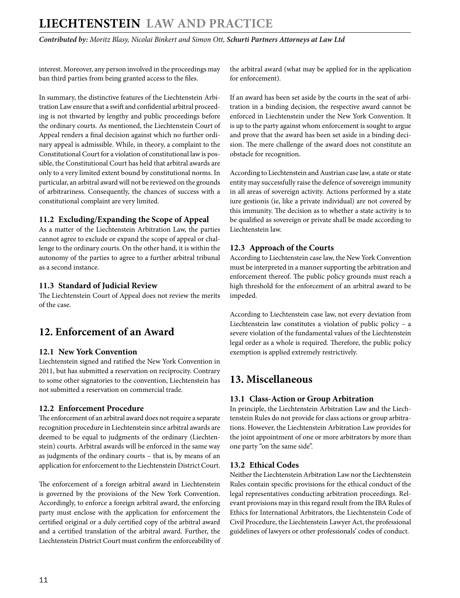<span id="page-10-0"></span>*Contributed by: Moritz Blasy, Nicolai Binkert and Simon Ott, Schurti Partners Attorneys at Law Ltd* 

interest. Moreover, any person involved in the proceedings may ban third parties from being granted access to the files.

In summary, the distinctive features of the Liechtenstein Arbitration Law ensure that a swift and confidential arbitral proceeding is not thwarted by lengthy and public proceedings before the ordinary courts. As mentioned, the Liechtenstein Court of Appeal renders a final decision against which no further ordinary appeal is admissible. While, in theory, a complaint to the Constitutional Court for a violation of constitutional law is possible, the Constitutional Court has held that arbitral awards are only to a very limited extent bound by constitutional norms. In particular, an arbitral award will not be reviewed on the grounds of arbitrariness. Consequently, the chances of success with a constitutional complaint are very limited.

#### **11.2 Excluding/Expanding the Scope of Appeal**

As a matter of the Liechtenstein Arbitration Law, the parties cannot agree to exclude or expand the scope of appeal or challenge to the ordinary courts. On the other hand, it is within the autonomy of the parties to agree to a further arbitral tribunal as a second instance.

#### **11.3 Standard of Judicial Review**

The Liechtenstein Court of Appeal does not review the merits of the case.

## **12. Enforcement of an Award**

#### **12.1 New York Convention**

Liechtenstein signed and ratified the New York Convention in 2011, but has submitted a reservation on reciprocity. Contrary to some other signatories to the convention, Liechtenstein has not submitted a reservation on commercial trade.

#### **12.2 Enforcement Procedure**

The enforcement of an arbitral award does not require a separate recognition procedure in Liechtenstein since arbitral awards are deemed to be equal to judgments of the ordinary (Liechtenstein) courts. Arbitral awards will be enforced in the same way as judgments of the ordinary courts – that is, by means of an application for enforcement to the Liechtenstein District Court.

The enforcement of a foreign arbitral award in Liechtenstein is governed by the provisions of the New York Convention. Accordingly, to enforce a foreign arbitral award, the enforcing party must enclose with the application for enforcement the certified original or a duly certified copy of the arbitral award and a certified translation of the arbitral award. Further, the Liechtenstein District Court must confirm the enforceability of the arbitral award (what may be applied for in the application for enforcement).

If an award has been set aside by the courts in the seat of arbitration in a binding decision, the respective award cannot be enforced in Liechtenstein under the New York Convention. It is up to the party against whom enforcement is sought to argue and prove that the award has been set aside in a binding decision. The mere challenge of the award does not constitute an obstacle for recognition.

According to Liechtenstein and Austrian case law, a state or state entity may successfully raise the defence of sovereign immunity in all areas of sovereign activity. Actions performed by a state iure gestionis (ie, like a private individual) are not covered by this immunity. The decision as to whether a state activity is to be qualified as sovereign or private shall be made according to Liechtenstein law.

#### **12.3 Approach of the Courts**

According to Liechtenstein case law, the New York Convention must be interpreted in a manner supporting the arbitration and enforcement thereof. The public policy grounds must reach a high threshold for the enforcement of an arbitral award to be impeded.

According to Liechtenstein case law, not every deviation from Liechtenstein law constitutes a violation of public policy – a severe violation of the fundamental values of the Liechtenstein legal order as a whole is required. Therefore, the public policy exemption is applied extremely restrictively.

## **13. Miscellaneous**

#### **13.1 Class-Action or Group Arbitration**

In principle, the Liechtenstein Arbitration Law and the Liechtenstein Rules do not provide for class actions or group arbitrations. However, the Liechtenstein Arbitration Law provides for the joint appointment of one or more arbitrators by more than one party "on the same side".

#### **13.2 Ethical Codes**

Neither the Liechtenstein Arbitration Law nor the Liechtenstein Rules contain specific provisions for the ethical conduct of the legal representatives conducting arbitration proceedings. Relevant provisions may in this regard result from the IBA Rules of Ethics for International Arbitrators, the Liechtenstein Code of Civil Procedure, the Liechtenstein Lawyer Act, the professional guidelines of lawyers or other professionals' codes of conduct.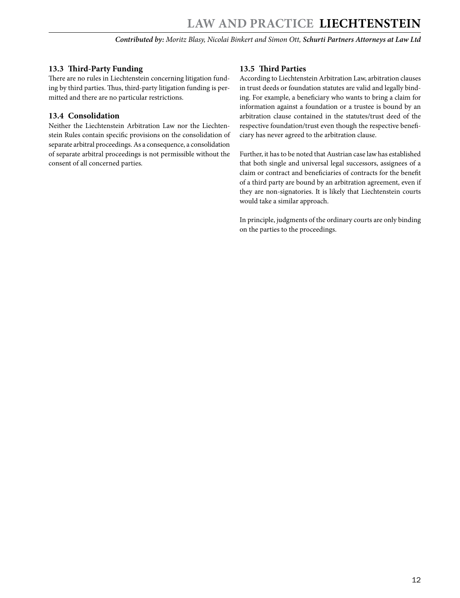#### <span id="page-11-0"></span>**13.3 Third-Party Funding**

There are no rules in Liechtenstein concerning litigation funding by third parties. Thus, third-party litigation funding is permitted and there are no particular restrictions.

#### **13.4 Consolidation**

Neither the Liechtenstein Arbitration Law nor the Liechtenstein Rules contain specific provisions on the consolidation of separate arbitral proceedings. As a consequence, a consolidation of separate arbitral proceedings is not permissible without the consent of all concerned parties.

#### **13.5 Third Parties**

According to Liechtenstein Arbitration Law, arbitration clauses in trust deeds or foundation statutes are valid and legally binding. For example, a beneficiary who wants to bring a claim for information against a foundation or a trustee is bound by an arbitration clause contained in the statutes/trust deed of the respective foundation/trust even though the respective beneficiary has never agreed to the arbitration clause.

Further, it has to be noted that Austrian case law has established that both single and universal legal successors, assignees of a claim or contract and beneficiaries of contracts for the benefit of a third party are bound by an arbitration agreement, even if they are non-signatories. It is likely that Liechtenstein courts would take a similar approach.

In principle, judgments of the ordinary courts are only binding on the parties to the proceedings.